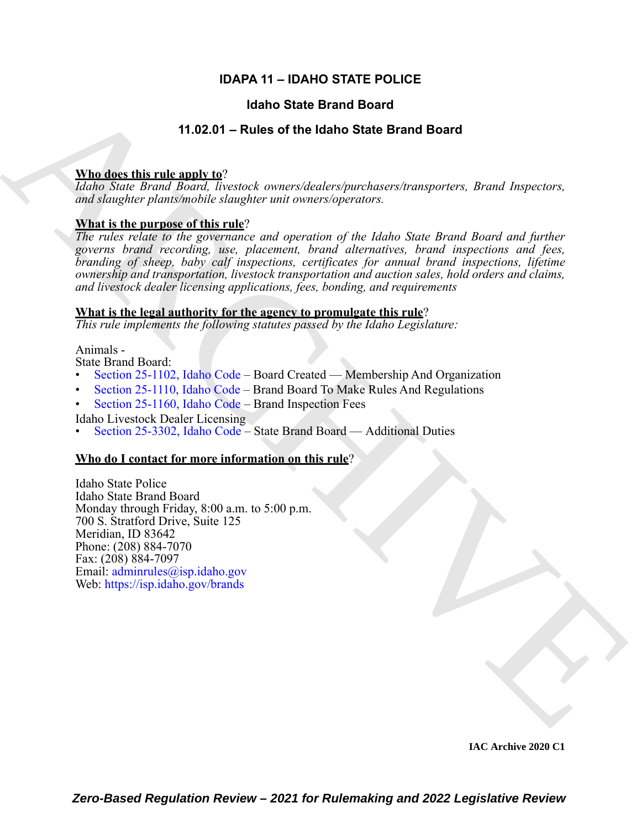# **IDAPA 11 – IDAHO STATE POLICE**

# **Idaho State Brand Board**

# **11.02.01 – Rules of the Idaho State Brand Board**

# **Who does this rule apply to**?

*Idaho State Brand Board, livestock owners/dealers/purchasers/transporters, Brand Inspectors, and slaughter plants/mobile slaughter unit owners/operators.*

# **What is the purpose of this rule**?

(datho State Brand Board)<br>
11.02.01 – Rules of the Idaho State Brand Board<br>
Mode Note Brand Board), Rescient, annoxideal<br>experimentary areas in the state Brand Board in the state of this ratio<br>
2016, Note Archive Board in *The rules relate to the governance and operation of the Idaho State Brand Board and further governs brand recording, use, placement, brand alternatives, brand inspections and fees, branding of sheep, baby calf inspections, certificates for annual brand inspections, lifetime ownership and transportation, livestock transportation and auction sales, hold orders and claims, and livestock dealer licensing applications, fees, bonding, and requirements*

### **What is the legal authority for the agency to promulgate this rule**?

*This rule implements the following statutes passed by the Idaho Legislature:*

# Animals -

State Brand Board:

- Section 25-1102, Idaho Code Board Created Membership And Organization
- Section 25-1110, Idaho Code Brand Board To Make Rules And Regulations
- Section 25-1160, Idaho Code Brand Inspection Fees

Idaho Livestock Dealer Licensing

• Section 25-3302, Idaho Code – State Brand Board — Additional Duties

# **Who do I contact for more information on this rule**?

Idaho State Police Idaho State Brand Board Monday through Friday, 8:00 a.m. to 5:00 p.m. 700 S. Stratford Drive, Suite 125 Meridian, ID 83642 Phone: (208) 884-7070 Fax: (208) 884-7097 Email: adminrules@isp.idaho.gov Web: https://isp.idaho.gov/brands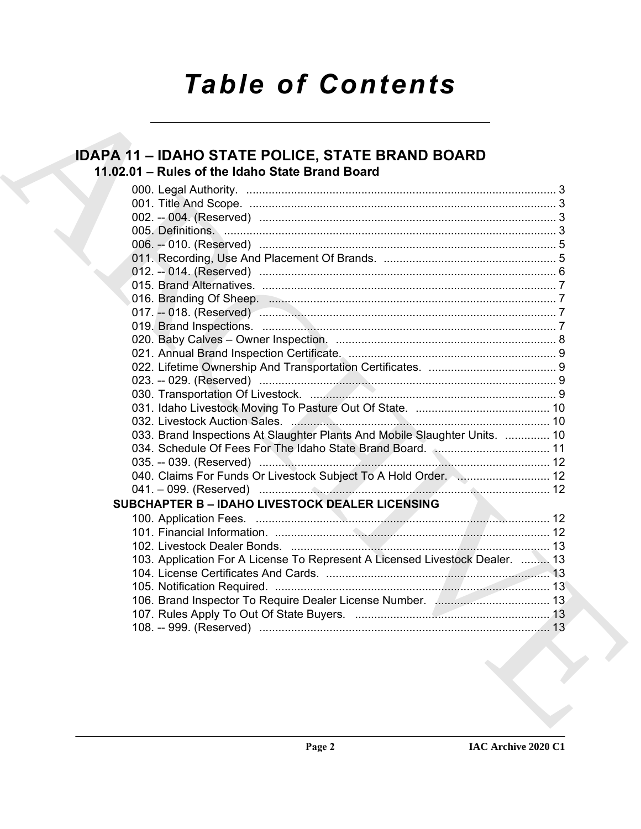# *Table of Contents*

# **IDAPA 11 – IDAHO STATE POLICE, STATE BRAND BOARD 11.02.01 – Rules of the Idaho State Brand Board**

| 033. Brand Inspections At Slaughter Plants And Mobile Slaughter Units.  10   |  |
|------------------------------------------------------------------------------|--|
| 034. Schedule Of Fees For The Idaho State Brand Board. Musummuntum 11        |  |
|                                                                              |  |
| 040. Claims For Funds Or Livestock Subject To A Hold Order.  12              |  |
|                                                                              |  |
| <b>SUBCHAPTER B - IDAHO LIVESTOCK DEALER LICENSING</b>                       |  |
|                                                                              |  |
|                                                                              |  |
|                                                                              |  |
| 103. Application For A License To Represent A Licensed Livestock Dealer.  13 |  |
|                                                                              |  |
|                                                                              |  |
|                                                                              |  |
|                                                                              |  |
|                                                                              |  |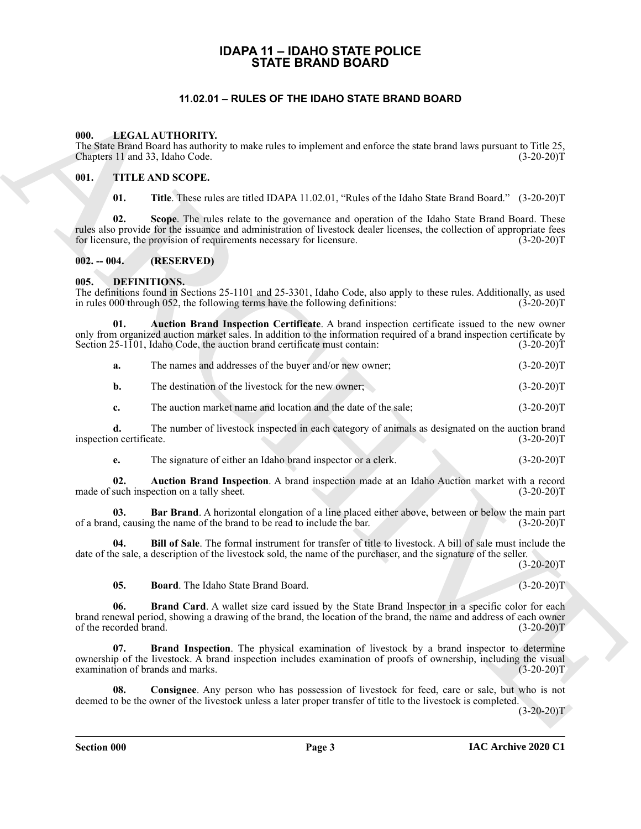# **IDAPA 11 – IDAHO STATE POLICE STATE BRAND BOARD**

# **11.02.01 – RULES OF THE IDAHO STATE BRAND BOARD**

#### <span id="page-2-15"></span><span id="page-2-2"></span><span id="page-2-1"></span><span id="page-2-0"></span>**000. LEGAL AUTHORITY.**

The State Brand Board has authority to make rules to implement and enforce the state brand laws pursuant to Title 25, Chapters 11 and 33, Idaho Code. (3-20-20)T

#### <span id="page-2-3"></span>**001. TITLE AND SCOPE.**

<span id="page-2-16"></span>**01. Title**. These rules are titled IDAPA 11.02.01, "Rules of the Idaho State Brand Board." (3-20-20)T

**02. Scope**. The rules relate to the governance and operation of the Idaho State Brand Board. These rules also provide for the issuance and administration of livestock dealer licenses, the collection of appropriate fees for licensure, the provision of requirements necessary for licensure. (3-20-20) for licensure, the provision of requirements necessary for licensure.

#### <span id="page-2-4"></span>**002. -- 004. (RESERVED)**

#### <span id="page-2-6"></span><span id="page-2-5"></span>**005. DEFINITIONS.**

The definitions found in Sections 25-1101 and 25-3301, Idaho Code, also apply to these rules. Additionally, as used<br>in rules 000 through 052, the following terms have the following definitions: (3-20-20) in rules  $000$  through  $052$ , the following terms have the following definitions:

**01. Auction Brand Inspection Certificate**. A brand inspection certificate issued to the new owner only from organized auction market sales. In addition to the information required of a brand inspection certificate by Section 25-1101, Idaho Code, the auction brand certificate must contain:  $(3-20-20)$ T

<span id="page-2-8"></span>

| a. | The names and addresses of the buver and/or new owner: | $(3-20-20)T$ |
|----|--------------------------------------------------------|--------------|
|----|--------------------------------------------------------|--------------|

**b.** The destination of the livestock for the new owner; (3-20-20)T

**c.** The auction market name and location and the date of the sale;  $(3-20-20)T$ 

**d.** The number of livestock inspected in each category of animals as designated on the auction brand inspection certificate. (3-20-20)T

<span id="page-2-9"></span><span id="page-2-7"></span>**e.** The signature of either an Idaho brand inspector or a clerk. (3-20-20)T

**02. Auction Brand Inspection**. A brand inspection made at an Idaho Auction market with a record made of such inspection on a tally sheet. (3-20-20)T

**03. Bar Brand**. A horizontal elongation of a line placed either above, between or below the main part d, causing the name of the brand to be read to include the bar. (3-20-20) of a brand, causing the name of the brand to be read to include the bar.

**04. Bill of Sale**. The formal instrument for transfer of title to livestock. A bill of sale must include the date of the sale, a description of the livestock sold, the name of the purchaser, and the signature of the seller.

<span id="page-2-13"></span><span id="page-2-12"></span><span id="page-2-11"></span><span id="page-2-10"></span>**05. Board**. The Idaho State Brand Board. (3-20-20)T

**11.62.01 ERGAL STATE BRAND STATE BRAND BOARD**<br> **CONFIGURATION CONTROVERS**<br> **CONFIGURATION CONTROVERS**<br> **CONFIGURATION CONTROVERS**<br> **CONFIGURATION CONFIGURATION** CONFIGURATION (**CONFIGURATION** CONFIGURATION CONFIGURATIO **06. Brand Card**. A wallet size card issued by the State Brand Inspector in a specific color for each brand renewal period, showing a drawing of the brand, the location of the brand, the name and address of each owner of the recorded brand. (3-20-20)T

**07. Brand Inspection**. The physical examination of livestock by a brand inspector to determine ownership of the livestock. A brand inspection includes examination of proofs of ownership, including the visual examination of brands and marks. (3-20-20) examination of brands and marks.

<span id="page-2-14"></span>**08. Consignee**. Any person who has possession of livestock for feed, care or sale, but who is not deemed to be the owner of the livestock unless a later proper transfer of title to the livestock is completed.

 $(3-20-20)T$ 

 $(3-20-20)T$ 

**Section 000 Page 3**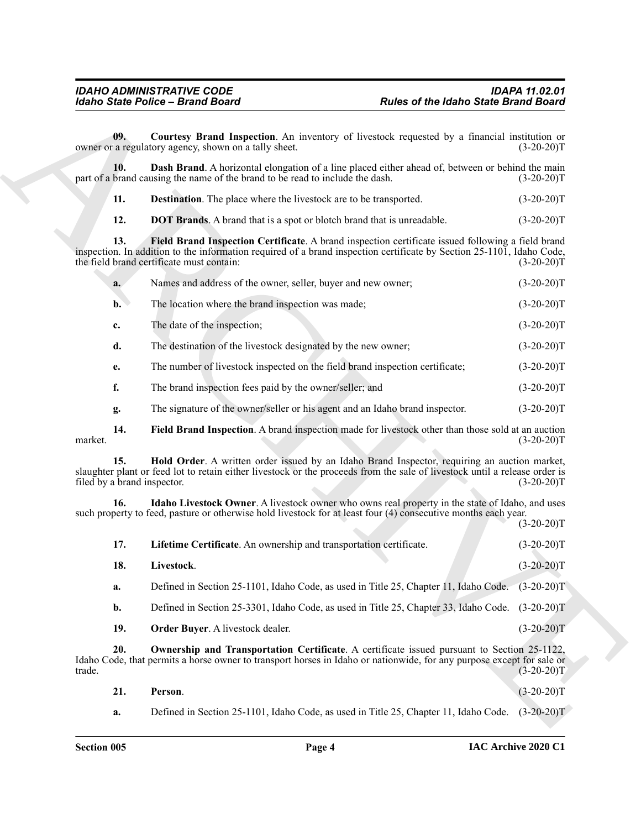<span id="page-3-6"></span><span id="page-3-4"></span><span id="page-3-3"></span><span id="page-3-2"></span><span id="page-3-1"></span>

|                                    | <b>Idaho State Police - Brand Board</b>                                                                                                                                                                                                                                 | Rules of the Idaho State Brand Board                                                 |              |
|------------------------------------|-------------------------------------------------------------------------------------------------------------------------------------------------------------------------------------------------------------------------------------------------------------------------|--------------------------------------------------------------------------------------|--------------|
| 09.                                | Courtesy Brand Inspection. An inventory of livestock requested by a financial institution or<br>owner or a regulatory agency, shown on a tally sheet.                                                                                                                   |                                                                                      | $(3-20-20)T$ |
| 10.                                | <b>Dash Brand.</b> A horizontal elongation of a line placed either ahead of, between or behind the main<br>part of a brand causing the name of the brand to be read to include the dash.                                                                                |                                                                                      | $(3-20-20)T$ |
| 11.                                | <b>Destination</b> . The place where the livestock are to be transported.                                                                                                                                                                                               |                                                                                      | $(3-20-20)T$ |
| 12.                                | <b>DOT Brands.</b> A brand that is a spot or blotch brand that is unreadable.                                                                                                                                                                                           |                                                                                      | $(3-20-20)T$ |
| 13.                                | Field Brand Inspection Certificate. A brand inspection certificate issued following a field brand<br>inspection. In addition to the information required of a brand inspection certificate by Section 25-1101, Idaho Code,<br>the field brand certificate must contain: |                                                                                      | $(3-20-20)T$ |
| a.                                 | Names and address of the owner, seller, buyer and new owner;                                                                                                                                                                                                            |                                                                                      | $(3-20-20)T$ |
| $\mathbf{b}$ .                     | The location where the brand inspection was made;                                                                                                                                                                                                                       |                                                                                      | $(3-20-20)T$ |
| $c_{\cdot}$                        | The date of the inspection;                                                                                                                                                                                                                                             |                                                                                      | $(3-20-20)T$ |
| d.                                 | The destination of the livestock designated by the new owner;                                                                                                                                                                                                           |                                                                                      | $(3-20-20)T$ |
| e.                                 | The number of livestock inspected on the field brand inspection certificate;                                                                                                                                                                                            |                                                                                      | $(3-20-20)T$ |
| f.                                 | The brand inspection fees paid by the owner/seller; and                                                                                                                                                                                                                 |                                                                                      | $(3-20-20)T$ |
| g.                                 | The signature of the owner/seller or his agent and an Idaho brand inspector.                                                                                                                                                                                            |                                                                                      | $(3-20-20)T$ |
| 14.<br>market.                     | Field Brand Inspection. A brand inspection made for livestock other than those sold at an auction                                                                                                                                                                       |                                                                                      | $(3-20-20)T$ |
| 15.<br>filed by a brand inspector. | Hold Order. A written order issued by an Idaho Brand Inspector, requiring an auction market,<br>slaughter plant or feed lot to retain either livestock or the proceeds from the sale of livestock until a release order is                                              |                                                                                      | $(3-20-20)T$ |
| 16.                                | Idaho Livestock Owner. A livestock owner who owns real property in the state of Idaho, and uses                                                                                                                                                                         |                                                                                      |              |
|                                    | such property to feed, pasture or otherwise hold livestock for at least four (4) consecutive months each year.                                                                                                                                                          |                                                                                      | $(3-20-20)T$ |
| 17.                                | Lifetime Certificate. An ownership and transportation certificate.                                                                                                                                                                                                      |                                                                                      | $(3-20-20)T$ |
| 18.                                | Livestock.                                                                                                                                                                                                                                                              |                                                                                      | $(3-20-20)T$ |
| a.                                 | Defined in Section 25-1101, Idaho Code, as used in Title 25, Chapter 11, Idaho Code.                                                                                                                                                                                    |                                                                                      | $(3-20-20)T$ |
| b.                                 | Defined in Section 25-3301, Idaho Code, as used in Title 25, Chapter 33, Idaho Code.                                                                                                                                                                                    |                                                                                      | $(3-20-20)T$ |
| 19.                                | Order Buyer. A livestock dealer.                                                                                                                                                                                                                                        |                                                                                      | $(3-20-20)T$ |
| 20.<br>trade.                      | <b>Ownership and Transportation Certificate.</b> A certificate issued pursuant to Section 25-1122,<br>Idaho Code, that permits a horse owner to transport horses in Idaho or nationwide, for any purpose except for sale or                                             |                                                                                      | $(3-20-20)T$ |
| 21.                                | Person.                                                                                                                                                                                                                                                                 |                                                                                      | $(3-20-20)T$ |
| a.                                 |                                                                                                                                                                                                                                                                         | Defined in Section 25-1101, Idaho Code, as used in Title 25, Chapter 11, Idaho Code. | $(3-20-20)T$ |

<span id="page-3-10"></span><span id="page-3-9"></span><span id="page-3-8"></span><span id="page-3-7"></span><span id="page-3-5"></span>

| 17.            | Lifetime Certificate. An ownership and transportation certificate.                              | $(3-20-20)T$ |
|----------------|-------------------------------------------------------------------------------------------------|--------------|
| 18.            | Livestock.                                                                                      | $(3-20-20)T$ |
| a.             | Defined in Section 25-1101, Idaho Code, as used in Title 25, Chapter 11, Idaho Code. (3-20-20)T |              |
| $\mathbf{b}$ . | Defined in Section 25-3301, Idaho Code, as used in Title 25, Chapter 33, Idaho Code. (3-20-20)T |              |
| 19.            | <b>Order Buyer.</b> A livestock dealer.                                                         | $(3-20-20)T$ |

<span id="page-3-13"></span><span id="page-3-12"></span><span id="page-3-11"></span><span id="page-3-0"></span>

| 21. | Person. | $(3-20-20)T$ |
|-----|---------|--------------|
|     |         |              |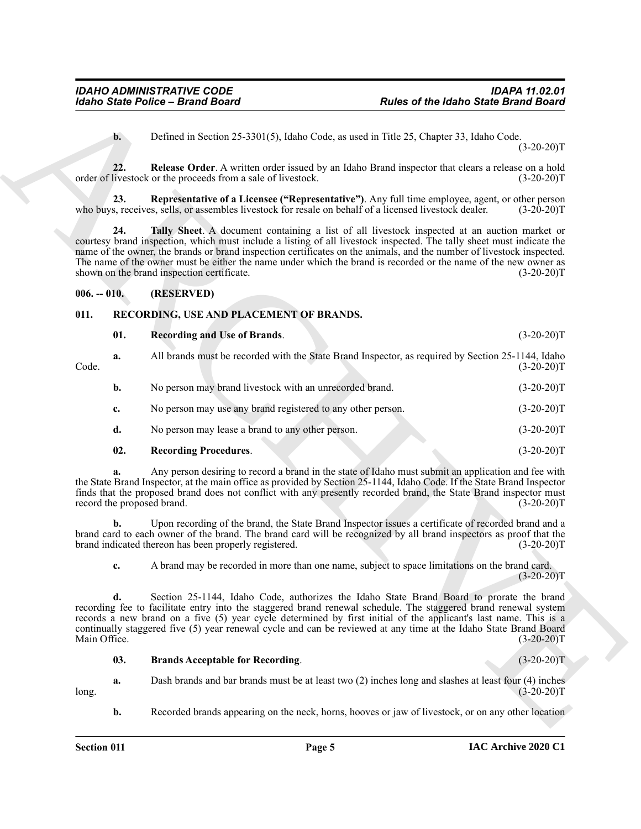#### <span id="page-4-4"></span><span id="page-4-3"></span><span id="page-4-2"></span><span id="page-4-0"></span>**006. -- 010. (RESERVED)**

#### <span id="page-4-7"></span><span id="page-4-5"></span><span id="page-4-1"></span>**011. RECORDING, USE AND PLACEMENT OF BRANDS.**

|                                  | <b>Idaho State Police - Brand Board</b>                                                                | Rules of the Idaho State Brand Board                                                                                                                                                                                                                                                                                                                                                                                                                                              |
|----------------------------------|--------------------------------------------------------------------------------------------------------|-----------------------------------------------------------------------------------------------------------------------------------------------------------------------------------------------------------------------------------------------------------------------------------------------------------------------------------------------------------------------------------------------------------------------------------------------------------------------------------|
| $\mathbf{b}$ .                   |                                                                                                        | Defined in Section 25-3301(5), Idaho Code, as used in Title 25, Chapter 33, Idaho Code.<br>$(3-20-20)T$                                                                                                                                                                                                                                                                                                                                                                           |
| 22.                              | order of livestock or the proceeds from a sale of livestock.                                           | Release Order. A written order issued by an Idaho Brand inspector that clears a release on a hold<br>$(3-20-20)T$                                                                                                                                                                                                                                                                                                                                                                 |
| 23.                              | who buys, receives, sells, or assembles livestock for resale on behalf of a licensed livestock dealer. | Representative of a Licensee ("Representative"). Any full time employee, agent, or other person<br>$(3-20-20)T$                                                                                                                                                                                                                                                                                                                                                                   |
| 24.                              | shown on the brand inspection certificate.                                                             | Tally Sheet. A document containing a list of all livestock inspected at an auction market or<br>courtesy brand inspection, which must include a listing of all livestock inspected. The tally sheet must indicate the<br>name of the owner, the brands or brand inspection certificates on the animals, and the number of livestock inspected.<br>The name of the owner must be either the name under which the brand is recorded or the name of the new owner as<br>$(3-20-20)T$ |
| $006. - 010.$                    | (RESERVED)                                                                                             |                                                                                                                                                                                                                                                                                                                                                                                                                                                                                   |
| 011.                             | RECORDING, USE AND PLACEMENT OF BRANDS.                                                                |                                                                                                                                                                                                                                                                                                                                                                                                                                                                                   |
| 01.                              | Recording and Use of Brands.                                                                           | $(3-20-20)T$                                                                                                                                                                                                                                                                                                                                                                                                                                                                      |
| a.<br>Code.                      |                                                                                                        | All brands must be recorded with the State Brand Inspector, as required by Section 25-1144, Idaho<br>$(3-20-20)T$                                                                                                                                                                                                                                                                                                                                                                 |
| b.                               | No person may brand livestock with an unrecorded brand.                                                | $(3-20-20)T$                                                                                                                                                                                                                                                                                                                                                                                                                                                                      |
| c.                               | No person may use any brand registered to any other person.                                            | $(3-20-20)T$                                                                                                                                                                                                                                                                                                                                                                                                                                                                      |
| d.                               | No person may lease a brand to any other person.                                                       | $(3-20-20)T$                                                                                                                                                                                                                                                                                                                                                                                                                                                                      |
| 02.                              | <b>Recording Procedures.</b>                                                                           | $(3-20-20)T$                                                                                                                                                                                                                                                                                                                                                                                                                                                                      |
| a.<br>record the proposed brand. |                                                                                                        | Any person desiring to record a brand in the state of Idaho must submit an application and fee with<br>the State Brand Inspector, at the main office as provided by Section 25-1144, Idaho Code. If the State Brand Inspector<br>finds that the proposed brand does not conflict with any presently recorded brand, the State Brand inspector must<br>$(3-20-20)T$                                                                                                                |
| b.                               | brand indicated thereon has been properly registered.                                                  | Upon recording of the brand, the State Brand Inspector issues a certificate of recorded brand and a<br>brand card to each owner of the brand. The brand card will be recognized by all brand inspectors as proof that the<br>$(3-20-20)T$                                                                                                                                                                                                                                         |
| c.                               |                                                                                                        | A brand may be recorded in more than one name, subject to space limitations on the brand card.<br>$(3-20-20)T$                                                                                                                                                                                                                                                                                                                                                                    |
| d.<br>Main Office.               |                                                                                                        | Section 25-1144, Idaho Code, authorizes the Idaho State Brand Board to prorate the brand<br>recording fee to facilitate entry into the staggered brand renewal schedule. The staggered brand renewal system<br>records a new brand on a five (5) year cycle determined by first initial of the applicant's last name. This is a<br>continually staggered five (5) year renewal cycle and can be reviewed at any time at the Idaho State Brand Board<br>$(3-20-20)T$               |
| 03.                              | <b>Brands Acceptable for Recording.</b>                                                                | $(3-20-20)T$                                                                                                                                                                                                                                                                                                                                                                                                                                                                      |
| a.<br>long.                      |                                                                                                        | Dash brands and bar brands must be at least two (2) inches long and slashes at least four (4) inches<br>$(3-20-20)T$                                                                                                                                                                                                                                                                                                                                                              |
|                                  |                                                                                                        |                                                                                                                                                                                                                                                                                                                                                                                                                                                                                   |

#### <span id="page-4-8"></span>**02. Recording Procedures**. (3-20-20)T

#### <span id="page-4-6"></span>**03. Brands Acceptable for Recording**. (3-20-20)T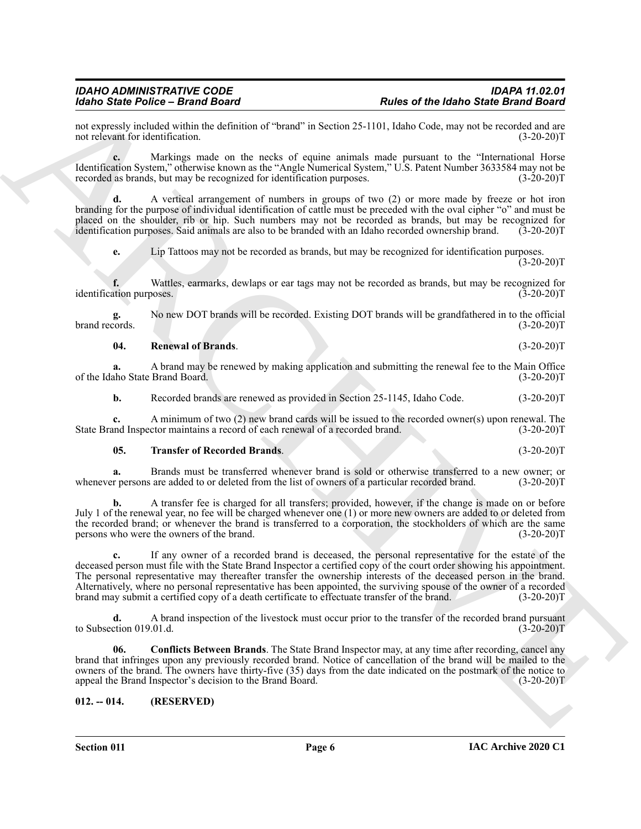not expressly included within the definition of "brand" in Section 25-1101, Idaho Code, may not be recorded and are not relevant for identification. (3-20-20) not relevant for identification.

**c.** Markings made on the necks of equine animals made pursuant to the "International Horse Identification System," otherwise known as the "Angle Numerical System," U.S. Patent Number 3633584 may not be recorded as brands, but may be recognized for identification purposes. (3-20-20)T

**d.** A vertical arrangement of numbers in groups of two (2) or more made by freeze or hot iron branding for the purpose of individual identification of cattle must be preceded with the oval cipher "o" and must be placed on the shoulder, rib or hip. Such numbers may not be recorded as brands, but may be recognized for identification purposes. Said animals are also to be branded with an Idaho recorded ownership brand. (3-20-20)T

**e.** Lip Tattoos may not be recorded as brands, but may be recognized for identification purposes.

 $(3-20-20)$ T

**f.** Wattles, earmarks, dewlaps or ear tags may not be recorded as brands, but may be recognized for ation purposes. (3-20-20) identification purposes.

**g.** No new DOT brands will be recorded. Existing DOT brands will be grandfathered in to the official brand records. (3-20-20)T brand records. (3-20-20)T

#### <span id="page-5-2"></span>**04. Renewal of Brands**. (3-20-20)T

**a.** A brand may be renewed by making application and submitting the renewal fee to the Main Office aho State Brand Board. (3-20-20) of the Idaho State Brand Board.

**b.** Recorded brands are renewed as provided in Section 25-1145, Idaho Code.  $(3-20-20)T$ 

**c.** A minimum of two (2) new brand cards will be issued to the recorded owner(s) upon renewal. The State Brand Inspector maintains a record of each renewal of a recorded brand. (3-20-20)T

#### <span id="page-5-3"></span>**05. Transfer of Recorded Brands**. (3-20-20)T

**a.** Brands must be transferred whenever brand is sold or otherwise transferred to a new owner; or r persons are added to or deleted from the list of owners of a particular recorded brand. (3-20-20) whenever persons are added to or deleted from the list of owners of a particular recorded brand.

**b.** A transfer fee is charged for all transfers; provided, however, if the change is made on or before July 1 of the renewal year, no fee will be charged whenever one (1) or more new owners are added to or deleted from the recorded brand; or whenever the brand is transferred to a corporation, the stockholders of which are the same<br>persons who were the owners of the brand. (3-20-20) persons who were the owners of the brand.

For the Poince - Bin France of the state of the labor State France of the state of the state based of the state of the state of the state of the state of the state of the state of the state of the state of the state of th **c.** If any owner of a recorded brand is deceased, the personal representative for the estate of the deceased person must file with the State Brand Inspector a certified copy of the court order showing his appointment. The personal representative may thereafter transfer the ownership interests of the deceased person in the brand. Alternatively, where no personal representative has been appointed, the surviving spouse of the owner of a recorded brand may submit a certified copy of a death certificate to effectuate transfer of the brand. (3-20-20) brand may submit a certified copy of a death certificate to effectuate transfer of the brand.

**d.** A brand inspection of the livestock must occur prior to the transfer of the recorded brand pursuant to Subsection 019.01.d.

<span id="page-5-1"></span>**06. Conflicts Between Brands**. The State Brand Inspector may, at any time after recording, cancel any brand that infringes upon any previously recorded brand. Notice of cancellation of the brand will be mailed to the owners of the brand. The owners have thirty-five (35) days from the date indicated on the postmark of the notice to appeal the Brand Inspector's decision to the Brand Board. (3-20-20)T

<span id="page-5-0"></span>**012. -- 014. (RESERVED)**

**Section 011 Page 6**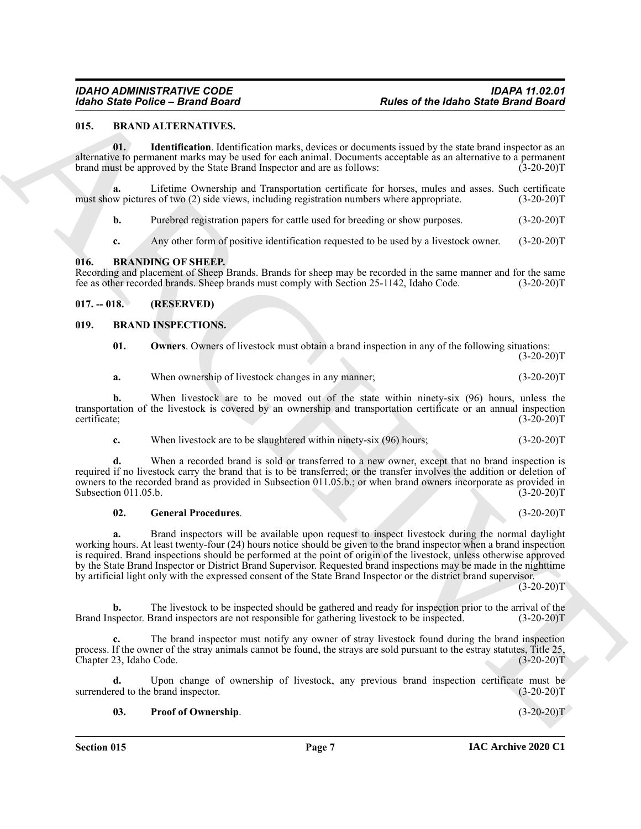#### <span id="page-6-4"></span><span id="page-6-0"></span>**015. BRAND ALTERNATIVES.**

<span id="page-6-5"></span>**01.** Identification. Identification marks, devices or documents issued by the state brand inspector as an alternative to permanent marks may be used for each animal. Documents acceptable as an alternative to a permanent brand must be approved by the State Brand Inspector and are as follows: (3-20-20)T

**a.** Lifetime Ownership and Transportation certificate for horses, mules and asses. Such certificate we pictures of two (2) side views, including registration numbers where appropriate. (3-20-20)T must show pictures of two (2) side views, including registration numbers where appropriate.

**b.** Purebred registration papers for cattle used for breeding or show purposes. (3-20-20)T

<span id="page-6-10"></span>**c.** Any other form of positive identification requested to be used by a livestock owner. (3-20-20)T

#### <span id="page-6-1"></span>**016. BRANDING OF SHEEP.**

Recording and placement of Sheep Brands. Brands for sheep may be recorded in the same manner and for the same<br>fee as other recorded brands. Sheep brands must comply with Section 25-1142, Idaho Code. (3-20-20)T fee as other recorded brands. Sheep brands must comply with Section 25-1142, Idaho Code.

#### <span id="page-6-2"></span>**017. -- 018. (RESERVED)**

#### <span id="page-6-3"></span>**019. BRAND INSPECTIONS.**

<span id="page-6-8"></span><span id="page-6-6"></span>**01. Owners**. Owners of livestock must obtain a brand inspection in any of the following situations:  $(3-20-20)T$ 

**a.** When ownership of livestock changes in any manner; (3-20-20)T

**b.** When livestock are to be moved out of the state within ninety-six (96) hours, unless the transportation of the livestock is covered by an ownership and transportation certificate or an annual inspection certificate;<br>(3-20-20)T certificate; (3-20-20)T

**c.** When livestock are to be slaughtered within ninety-six (96) hours; (3-20-20)T

When a recorded brand is sold or transferred to a new owner, except that no brand inspection is required if no livestock carry the brand that is to be transferred; or the transfer involves the addition or deletion of owners to the recorded brand as provided in Subsection 011.05.b.; or when brand owners incorporate as provided in Subsection 011.05.b. (3-20-20)T

#### <span id="page-6-7"></span>**02. General Procedures**. (3-20-20)T

Form State Poince - Brand Board<br>
US. BALA DA LEMENTARIA Mean the state of the blank of the blank of the blank of the principal distributions of<br>
US. BALA DA LEMENTARIA Mean through the state of the state of the state of t **a.** Brand inspectors will be available upon request to inspect livestock during the normal daylight working hours. At least twenty-four (24) hours notice should be given to the brand inspector when a brand inspection is required. Brand inspections should be performed at the point of origin of the livestock, unless otherwise approved by the State Brand Inspector or District Brand Supervisor. Requested brand inspections may be made in the nighttime by artificial light only with the expressed consent of the State Brand Inspector or the district brand supervisor.

 $(3-20-20)T$ 

**b.** The livestock to be inspected should be gathered and ready for inspection prior to the arrival of the Brand Inspector. Brand inspectors are not responsible for gathering livestock to be inspected. (3-20-20)T

**c.** The brand inspector must notify any owner of stray livestock found during the brand inspection process. If the owner of the stray animals cannot be found, the strays are sold pursuant to the estray statutes, Title 25, Chapter 23, Idaho Code. (3-20-20)T

**d.** Upon change of ownership of livestock, any previous brand inspection certificate must be red to the brand inspector.  $(3-20-20)T$ surrendered to the brand inspector.

#### <span id="page-6-9"></span>**03. Proof of Ownership**. (3-20-20)T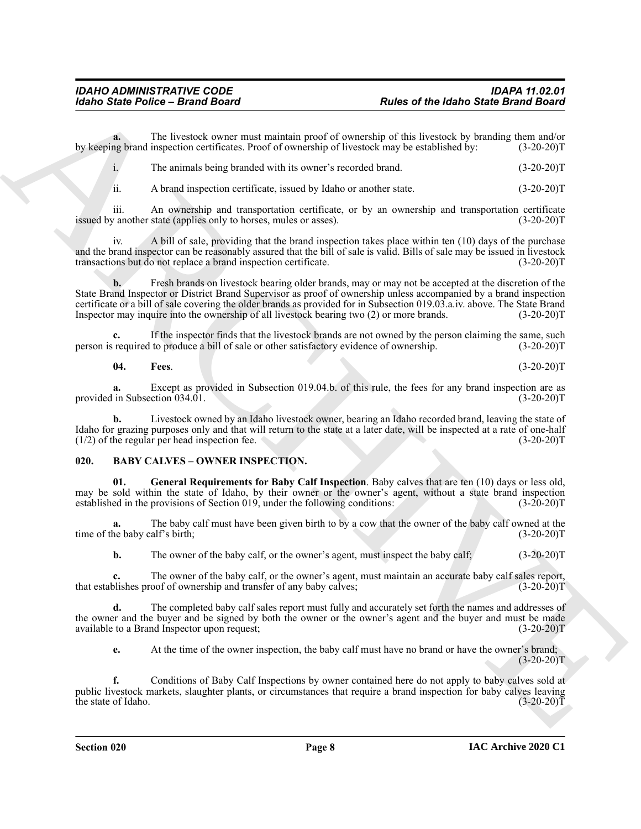**a.** The livestock owner must maintain proof of ownership of this livestock by branding them and/or by keeping brand inspection certificates. Proof of ownership of livestock may be established by: (3-20-20)T

| The animals being branded with its owner's recorded brand. | $(3-20-20)T$ |
|------------------------------------------------------------|--------------|
|                                                            |              |

ii. A brand inspection certificate, issued by Idaho or another state. (3-20-20)T

iii. An ownership and transportation certificate, or by an ownership and transportation certificate issued by another state (applies only to horses, mules or asses). (3-20-20)T

A bill of sale, providing that the brand inspection takes place within ten (10) days of the purchase and the brand inspector can be reasonably assured that the bill of sale is valid. Bills of sale may be issued in livestock transactions but do not replace a brand inspection certificate. (3-20-20)T

For the Poince - Brand Board<br>
Transport of the material and provided transport of the material and the poince of the Habbo State Brand Board<br>
The Haussian State Haussian State Controller (1988). The controller of the Stat **b.** Fresh brands on livestock bearing older brands, may or may not be accepted at the discretion of the State Brand Inspector or District Brand Supervisor as proof of ownership unless accompanied by a brand inspection certificate or a bill of sale covering the older brands as provided for in Subsection 019.03.a.iv. above. The State Brand Inspector may inquire into the ownership of all livestock bearing two (2) or more brands. (3-20-20)T

If the inspector finds that the livestock brands are not owned by the person claiming the same, such to produce a bill of sale or other satisfactory evidence of ownership.  $(3-20-20)$ person is required to produce a bill of sale or other satisfactory evidence of ownership.

<span id="page-7-3"></span>**04. Fees**. (3-20-20)T

**a.** Except as provided in Subsection 019.04.b. of this rule, the fees for any brand inspection are as provided in Subsection 034.01. (3-20-20)T

**b.** Livestock owned by an Idaho livestock owner, bearing an Idaho recorded brand, leaving the state of Idaho for grazing purposes only and that will return to the state at a later date, will be inspected at a rate of one-half (1/2) of the regular per head inspection fee. (3-20-20)  $(1/2)$  of the regular per head inspection fee.

#### <span id="page-7-2"></span><span id="page-7-1"></span><span id="page-7-0"></span>**020. BABY CALVES – OWNER INSPECTION.**

**01. General Requirements for Baby Calf Inspection**. Baby calves that are ten (10) days or less old, may be sold within the state of Idaho, by their owner or the owner's agent, without a state brand inspection established in the provisions of Section 019, under the following conditions: (3-20-20) established in the provisions of Section 019, under the following conditions:

The baby calf must have been given birth to by a cow that the owner of the baby calf owned at the alf's birth: (3-20-20)<sup>T</sup> time of the baby calf's birth;

**b.** The owner of the baby calf, or the owner's agent, must inspect the baby calf; (3-20-20)T

**c.** The owner of the baby calf, or the owner's agent, must maintain an accurate baby calf sales report, that establishes proof of ownership and transfer of any baby calves; (3-20-20)T

**d.** The completed baby calf sales report must fully and accurately set forth the names and addresses of the owner and the buyer and be signed by both the owner or the owner's agent and the buyer and must be made available to a Brand Inspector upon request; (3-20-20) available to a Brand Inspector upon request;

**e.** At the time of the owner inspection, the baby calf must have no brand or have the owner's brand;  $(3-20-20)T$ 

**f.** Conditions of Baby Calf Inspections by owner contained here do not apply to baby calves sold at public livestock markets, slaughter plants, or circumstances that require a brand inspection for baby calves leaving<br>(3-20-20)T the state of Idaho.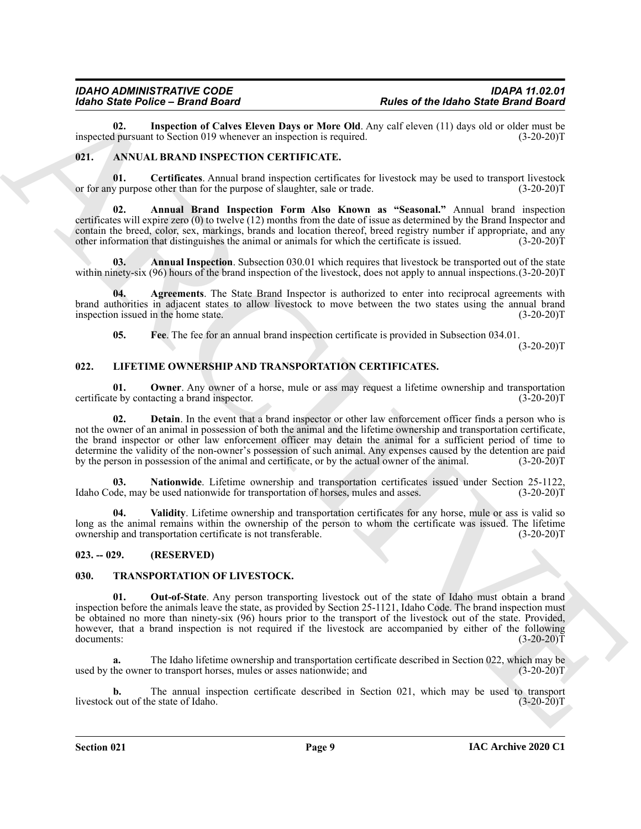<span id="page-8-10"></span>**02.** Inspection of Calves Eleven Days or More Old. Any calf eleven (11) days old or older must be d pursuant to Section 019 whenever an inspection is required. (3-20-20) inspected pursuant to Section 019 whenever an inspection is required.

#### <span id="page-8-4"></span><span id="page-8-0"></span>**021. ANNUAL BRAND INSPECTION CERTIFICATE.**

<span id="page-8-8"></span>**01. Certificates**. Annual brand inspection certificates for livestock may be used to transport livestock or for any purpose other than for the purpose of slaughter, sale or trade.

<span id="page-8-6"></span>**02. Annual Brand Inspection Form Also Known as "Seasonal."** Annual brand inspection certificates will expire zero (0) to twelve (12) months from the date of issue as determined by the Brand Inspector and contain the breed, color, sex, markings, brands and location thereof, breed registry number if appropriate, and any other information that distinguishes the animal or animals for which the certificate is issued. (3-20-20)T other information that distinguishes the animal or animals for which the certificate is issued.

<span id="page-8-7"></span>**03. Annual Inspection**. Subsection 030.01 which requires that livestock be transported out of the state within ninety-six (96) hours of the brand inspection of the livestock, does not apply to annual inspections.  $(3-20-20)$ T

**04. Agreements**. The State Brand Inspector is authorized to enter into reciprocal agreements with brand authorities in adjacent states to allow livestock to move between the two states using the annual brand inspection issued in the home state. (3-20-20)T

<span id="page-8-14"></span><span id="page-8-11"></span><span id="page-8-9"></span><span id="page-8-5"></span>**05. Fee**. The fee for an annual brand inspection certificate is provided in Subsection 034.01.

 $(3-20-20)T$ 

#### <span id="page-8-1"></span>**022. LIFETIME OWNERSHIP AND TRANSPORTATION CERTIFICATES.**

<span id="page-8-12"></span>**01. Owner**. Any owner of a horse, mule or ass may request a lifetime ownership and transportation certificate by contacting a brand inspector. (3-20-20)T

For British College - Branch Branch College and The Patrick College and Theorem (1988) and the Patrick College and Theorem (1988) and the Patrick College and The Patrick College and The Patrick College and The Patrick Col **02. Detain**. In the event that a brand inspector or other law enforcement officer finds a person who is not the owner of an animal in possession of both the animal and the lifetime ownership and transportation certificate, the brand inspector or other law enforcement officer may detain the animal for a sufficient period of time to determine the validity of the non-owner's possession of such animal. Any expenses caused by the detention are paid by the person in possession of the animal and certificate, or by the actual owner of the animal. (3-20-20)T

<span id="page-8-13"></span>**03. Nationwide**. Lifetime ownership and transportation certificates issued under Section 25-1122, Idaho Code, may be used nationwide for transportation of horses, mules and asses. (3-20-20)T

<span id="page-8-15"></span>**04. Validity**. Lifetime ownership and transportation certificates for any horse, mule or ass is valid so long as the animal remains within the ownership of the person to whom the certificate was issued. The lifetime ownership and transportation certificate is not transferable. (3-20-20) ownership and transportation certificate is not transferable.

#### <span id="page-8-2"></span>**023. -- 029. (RESERVED)**

#### <span id="page-8-16"></span><span id="page-8-3"></span>**030. TRANSPORTATION OF LIVESTOCK.**

<span id="page-8-17"></span>**01. Out-of-State**. Any person transporting livestock out of the state of Idaho must obtain a brand inspection before the animals leave the state, as provided by Section 25-1121, Idaho Code. The brand inspection must be obtained no more than ninety-six (96) hours prior to the transport of the livestock out of the state. Provided, however, that a brand inspection is not required if the livestock are accompanied by either of the following documents:<br>(3-20-20) documents:  $(3-20-20)T$ 

**a.** The Idaho lifetime ownership and transportation certificate described in Section 022, which may be used by the owner to transport horses, mules or asses nationwide; and (3-20-20)T

**b.** The annual inspection certificate described in Section 021, which may be used to transport cout of the state of Idaho. (3-20-20) livestock out of the state of Idaho.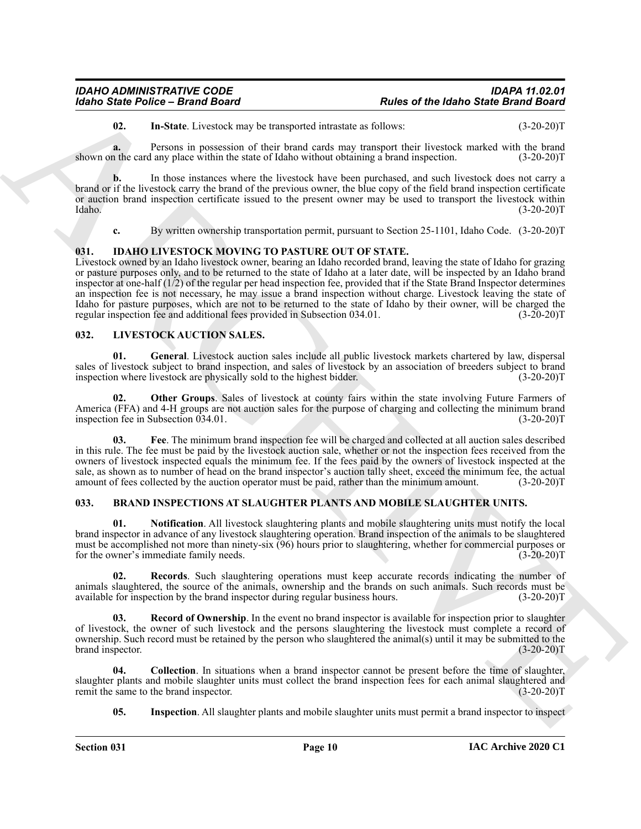<span id="page-9-14"></span>**02. In-State**. Livestock may be transported intrastate as follows: (3-20-20)T

**a.** Persons in possession of their brand cards may transport their livestock marked with the brand in the card any place within the state of Idaho without obtaining a brand inspection. (3-20-20) shown on the card any place within the state of Idaho without obtaining a brand inspection.

**b.** In those instances where the livestock have been purchased, and such livestock does not carry a brand or if the livestock carry the brand of the previous owner, the blue copy of the field brand inspection certificate or auction brand inspection certificate issued to the present owner may be used to transport the livestock within Idaho. (3-20-20)T

<span id="page-9-9"></span>**c.** By written ownership transportation permit, pursuant to Section 25-1101, Idaho Code. (3-20-20)T

#### <span id="page-9-0"></span>**031. IDAHO LIVESTOCK MOVING TO PASTURE OUT OF STATE.**

Form State Police - Brand Board<br>
(2). In each to be the state of the balance of the balance State Board County of the state of the balance State Board County of the state of the state of the state of the state of the stat Livestock owned by an Idaho livestock owner, bearing an Idaho recorded brand, leaving the state of Idaho for grazing or pasture purposes only, and to be returned to the state of Idaho at a later date, will be inspected by an Idaho brand inspector at one-half (1/2) of the regular per head inspection fee, provided that if the State Brand Inspector determines an inspection fee is not necessary, he may issue a brand inspection without charge. Livestock leaving the state of Idaho for pasture purposes, which are not to be returned to the state of Idaho by their owner, will be charged the regular inspection fee and additional fees provided in Subsection 034.01. (3-20-20)T

#### <span id="page-9-10"></span><span id="page-9-1"></span>**032. LIVESTOCK AUCTION SALES.**

<span id="page-9-12"></span>**01. General**. Livestock auction sales include all public livestock markets chartered by law, dispersal sales of livestock subject to brand inspection, and sales of livestock by an association of breeders subject to brand inspection where livestock are physically sold to the highest bidder. (3-20-20)T

<span id="page-9-13"></span>**02. Other Groups**. Sales of livestock at county fairs within the state involving Future Farmers of America (FFA) and 4-H groups are not auction sales for the purpose of charging and collecting the minimum brand inspection fee in Subsection 034.01. (3-20-20) inspection fee in Subsection  $\overline{034.01}$ .

<span id="page-9-11"></span>**03. Fee**. The minimum brand inspection fee will be charged and collected at all auction sales described in this rule. The fee must be paid by the livestock auction sale, whether or not the inspection fees received from the owners of livestock inspected equals the minimum fee. If the fees paid by the owners of livestock inspected at the sale, as shown as to number of head on the brand inspector's auction tally sheet, exceed the minimum fee, the actual amount of fees collected by the auction operator must be paid, rather than the minimum amount. (3-20-20)T amount of fees collected by the auction operator must be paid, rather than the minimum amount.

#### <span id="page-9-3"></span><span id="page-9-2"></span>**033. BRAND INSPECTIONS AT SLAUGHTER PLANTS AND MOBILE SLAUGHTER UNITS.**

<span id="page-9-6"></span>**01. Notification**. All livestock slaughtering plants and mobile slaughtering units must notify the local brand inspector in advance of any livestock slaughtering operation. Brand inspection of the animals to be slaughtered must be accomplished not more than ninety-six (96) hours prior to slaughtering, whether for commercial purposes or for the owner's immediate family needs. (3-20-20) for the owner's immediate family needs.

<span id="page-9-8"></span>**02. Records**. Such slaughtering operations must keep accurate records indicating the number of animals slaughtered, the source of the animals, ownership and the brands on such animals. Such records must be available for inspection by the brand inspector during regular business hours. (3-20-20) available for inspection by the brand inspector during regular business hours.

<span id="page-9-7"></span>**Record of Ownership**. In the event no brand inspector is available for inspection prior to slaughter of livestock, the owner of such livestock and the persons slaughtering the livestock must complete a record of ownership. Such record must be retained by the person who slaughtered the animal(s) until it may be submitted to the brand inspector. (3-20-20)T

**04. Collection**. In situations when a brand inspector cannot be present before the time of slaughter, slaughter plants and mobile slaughter units must collect the brand inspection fees for each animal slaughtered and remit the same to the brand inspector. (3-20-20)T remit the same to the brand inspector.

<span id="page-9-5"></span><span id="page-9-4"></span>**05. Inspection**. All slaughter plants and mobile slaughter units must permit a brand inspector to inspect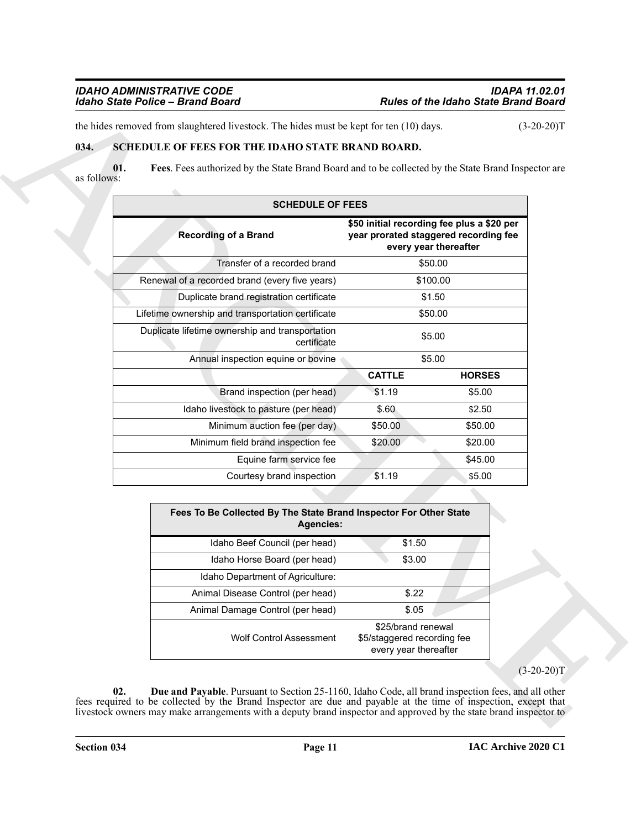### <span id="page-10-3"></span><span id="page-10-1"></span><span id="page-10-0"></span>**034. SCHEDULE OF FEES FOR THE IDAHO STATE BRAND BOARD.**

| 01.<br>as follows: | Fees. Fees authorized by the State Brand Board and to be collected by the State Brand Inspector are |                                                                            |                                                                                                              |  |
|--------------------|-----------------------------------------------------------------------------------------------------|----------------------------------------------------------------------------|--------------------------------------------------------------------------------------------------------------|--|
|                    | <b>SCHEDULE OF FEES</b>                                                                             |                                                                            |                                                                                                              |  |
|                    | <b>Recording of a Brand</b>                                                                         |                                                                            | \$50 initial recording fee plus a \$20 per<br>year prorated staggered recording fee<br>every year thereafter |  |
|                    | Transfer of a recorded brand                                                                        |                                                                            | \$50.00                                                                                                      |  |
|                    | Renewal of a recorded brand (every five years)                                                      |                                                                            | \$100.00                                                                                                     |  |
|                    | Duplicate brand registration certificate                                                            |                                                                            | \$1.50                                                                                                       |  |
|                    | Lifetime ownership and transportation certificate                                                   |                                                                            | \$50.00                                                                                                      |  |
|                    | Duplicate lifetime ownership and transportation<br>certificate                                      |                                                                            | \$5.00                                                                                                       |  |
|                    | Annual inspection equine or bovine                                                                  |                                                                            | \$5.00                                                                                                       |  |
|                    |                                                                                                     | <b>CATTLE</b>                                                              | <b>HORSES</b>                                                                                                |  |
|                    | Brand inspection (per head)                                                                         | \$1.19                                                                     | \$5.00                                                                                                       |  |
|                    | Idaho livestock to pasture (per head)                                                               | \$.60                                                                      | \$2.50                                                                                                       |  |
|                    | Minimum auction fee (per day)                                                                       | \$50.00                                                                    | \$50.00                                                                                                      |  |
|                    | Minimum field brand inspection fee                                                                  | \$20.00                                                                    | \$20.00                                                                                                      |  |
|                    | Equine farm service fee                                                                             |                                                                            | \$45.00                                                                                                      |  |
|                    | Courtesy brand inspection                                                                           | \$1.19                                                                     | \$5.00                                                                                                       |  |
|                    |                                                                                                     |                                                                            |                                                                                                              |  |
|                    | Fees To Be Collected By The State Brand Inspector For Other State<br><b>Agencies:</b>               |                                                                            |                                                                                                              |  |
|                    | Idaho Beef Council (per head)                                                                       | \$1.50                                                                     |                                                                                                              |  |
|                    | Idaho Horse Board (per head)                                                                        | \$3.00                                                                     |                                                                                                              |  |
|                    | Idaho Department of Agriculture:                                                                    |                                                                            |                                                                                                              |  |
|                    | Animal Disease Control (per head)                                                                   | \$.22                                                                      |                                                                                                              |  |
|                    | Animal Damage Control (per head)                                                                    | \$.05                                                                      |                                                                                                              |  |
|                    | <b>Wolf Control Assessment</b>                                                                      | \$25/brand renewal<br>\$5/staggered recording fee<br>every year thereafter |                                                                                                              |  |

<span id="page-10-2"></span>

| Fees To Be Collected By The State Brand Inspector For Other State<br><b>Agencies:</b> |                                                                            |  |  |  |
|---------------------------------------------------------------------------------------|----------------------------------------------------------------------------|--|--|--|
| Idaho Beef Council (per head)                                                         | \$1.50                                                                     |  |  |  |
| Idaho Horse Board (per head)                                                          | \$3.00                                                                     |  |  |  |
| Idaho Department of Agriculture:                                                      |                                                                            |  |  |  |
| Animal Disease Control (per head)                                                     | \$.22                                                                      |  |  |  |
| Animal Damage Control (per head)                                                      | \$.05                                                                      |  |  |  |
| <b>Wolf Control Assessment</b>                                                        | \$25/brand renewal<br>\$5/staggered recording fee<br>every year thereafter |  |  |  |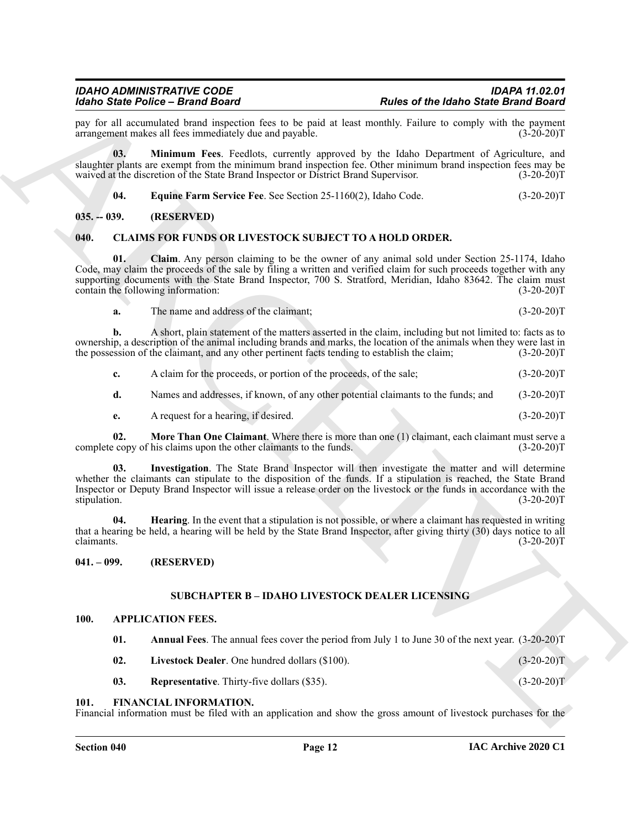pay for all accumulated brand inspection fees to be paid at least monthly. Failure to comply with the payment arrangement makes all fees immediately due and payable. (3-20-20) arrangement makes all fees immediately due and payable.

**03. Minimum Fees**. Feedlots, currently approved by the Idaho Department of Agriculture, and slaughter plants are exempt from the minimum brand inspection fee. Other minimum brand inspection fees may be waived at the discretion of the State Brand Inspector or District Brand Supervisor. (3-20-20) waived at the discretion of the State Brand Inspector or District Brand Supervisor.

<span id="page-11-9"></span>**04.** Equine Farm Service Fee. See Section 25-1160(2), Idaho Code. (3-20-20)T

#### <span id="page-11-0"></span>**035. -- 039. (RESERVED)**

#### <span id="page-11-1"></span>**040. CLAIMS FOR FUNDS OR LIVESTOCK SUBJECT TO A HOLD ORDER.**

**Example Period Same Proposition** (as the System of the Halbert of the Halbert Context of Example 11. The main term for the space of the Halbert of the Halbert of the System of the Halbert of the System of the System of **01. Claim**. Any person claiming to be the owner of any animal sold under Section 25-1174, Idaho Code, may claim the proceeds of the sale by filing a written and verified claim for such proceeds together with any supporting documents with the State Brand Inspector, 700 S. Stratford, Meridian, Idaho 83642. The claim must contain the following information: (3-20-20) contain the following information:

<span id="page-11-10"></span>**a.** The name and address of the claimant; (3-20-20)T

**b.** A short, plain statement of the matters asserted in the claim, including but not limited to: facts as to ownership, a description of the animal including brands and marks, the location of the animals when they were last in the possession of the claimant, and any other pertinent facts tending to establish the claim; (3-20-20)T

| $\mathbf{c}$ . | A claim for the proceeds, or portion of the proceeds, of the sale;                | $(3-20-20)T$ |
|----------------|-----------------------------------------------------------------------------------|--------------|
|                | Names and addresses, if known, of any other potential claimants to the funds; and | $(3-20-20)T$ |
|                | A request for a hearing, if desired.                                              | $(3-20-20)T$ |

<span id="page-11-13"></span><span id="page-11-12"></span>

**02. More Than One Claimant**. Where there is more than one (1) claimant, each claimant must serve a copy of his claims upon the other claimants to the funds. (3-20-20) complete copy of his claims upon the other claimants to the funds.

**03. Investigation**. The State Brand Inspector will then investigate the matter and will determine whether the claimants can stipulate to the disposition of the funds. If a stipulation is reached, the State Brand Inspector or Deputy Brand Inspector will issue a release order on the livestock or the funds in accordance with the stipulation. (3-20-20)T

<span id="page-11-11"></span>**04. Hearing**. In the event that a stipulation is not possible, or where a claimant has requested in writing that a hearing be held, a hearing will be held by the State Brand Inspector, after giving thirty (30) days notice to all claimants.  $(3-20-20)T$ 

#### <span id="page-11-2"></span>**041. – 099. (RESERVED)**

### **SUBCHAPTER B – IDAHO LIVESTOCK DEALER LICENSING**

#### <span id="page-11-4"></span><span id="page-11-3"></span>**100. APPLICATION FEES.**

- <span id="page-11-7"></span><span id="page-11-6"></span>**01. Annual Fees**. The annual fees cover the period from July 1 to June 30 of the next year. (3-20-20)T
- <span id="page-11-8"></span>**02. Livestock Dealer**. One hundred dollars (\$100). (3-20-20)T
- <span id="page-11-14"></span>**03.** Representative. Thirty-five dollars (\$35). (3-20-20)T

#### <span id="page-11-5"></span>**101. FINANCIAL INFORMATION.**

Financial information must be filed with an application and show the gross amount of livestock purchases for the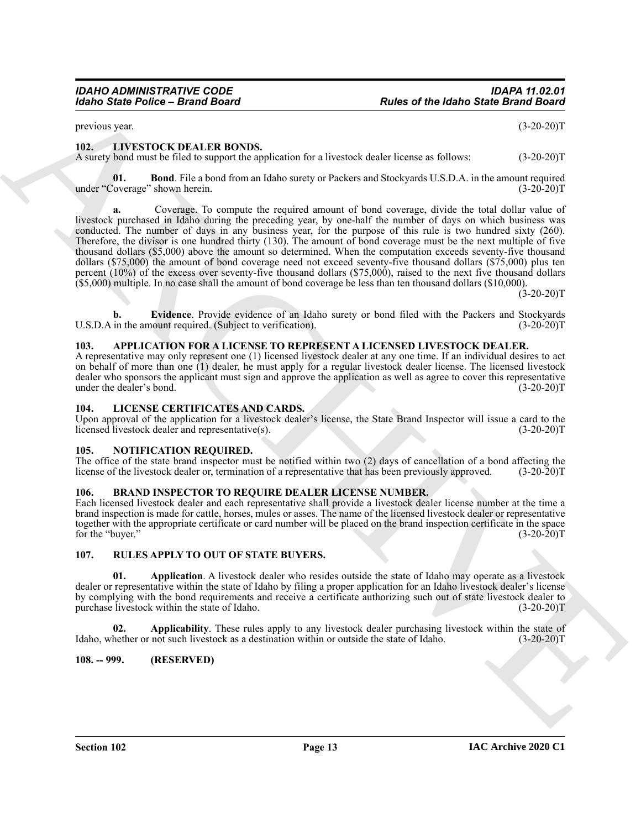previous year. (3-20-20)T

<span id="page-12-9"></span><span id="page-12-0"></span>**102. LIVESTOCK DEALER BONDS.**

A surety bond must be filed to support the application for a livestock dealer license as follows: (3-20-20)T

<span id="page-12-11"></span><span id="page-12-10"></span>**01. Bond**. File a bond from an Idaho surety or Packers and Stockyards U.S.D.A. in the amount required loverage" shown herein. (3-20-20) under "Coverage" shown herein.

For the Poince - Brand Board<br>
The same Poince - Brand Board<br>
The same Poince - Brand Board<br>
The same Poince - Brand Board<br>
The same Poince - Brand Board<br>
The same Poince - Brand Board<br>
The same Poince - Brand Board<br>
The s **a.** Coverage. To compute the required amount of bond coverage, divide the total dollar value of livestock purchased in Idaho during the preceding year, by one-half the number of days on which business was conducted. The number of days in any business year, for the purpose of this rule is two hundred sixty (260). Therefore, the divisor is one hundred thirty (130). The amount of bond coverage must be the next multiple of five thousand dollars (\$5,000) above the amount so determined. When the computation exceeds seventy-five thousand dollars (\$75,000) the amount of bond coverage need not exceed seventy-five thousand dollars (\$75,000) plus ten percent (10%) of the excess over seventy-five thousand dollars (\$75,000), raised to the next five thousand dollars (\$5,000) multiple. In no case shall the amount of bond coverage be less than ten thousand dollars (\$10,000).

 $(3-20-20)T$ 

<span id="page-12-12"></span>**b. Evidence**. Provide evidence of an Idaho surety or bond filed with the Packers and Stockyards U.S.D.A in the amount required. (Subject to verification). (3-20-20) (3-20-20) T

#### <span id="page-12-6"></span>**103. APPLICATION FOR A LICENSE TO REPRESENT A LICENSED LIVESTOCK DEALER.**

A representative may only represent one (1) licensed livestock dealer at any one time. If an individual desires to act on behalf of more than one (1) dealer, he must apply for a regular livestock dealer license. The licensed livestock dealer who sponsors the applicant must sign and approve the application as well as agree to cover this representative under the dealer's bond. (3-20-20) under the dealer's bond.

#### <span id="page-12-8"></span><span id="page-12-1"></span>**104. LICENSE CERTIFICATES AND CARDS.**

Upon approval of the application for a livestock dealer's license, the State Brand Inspector will issue a card to the licensed livestock dealer and representative(s). (3-20-20)T

#### <span id="page-12-13"></span><span id="page-12-2"></span>**105. NOTIFICATION REQUIRED.**

The office of the state brand inspector must be notified within two (2) days of cancellation of a bond affecting the license of the livestock dealer or, termination of a representative that has been previously approved. (3-20-20)T

#### <span id="page-12-7"></span><span id="page-12-3"></span>**106. BRAND INSPECTOR TO REQUIRE DEALER LICENSE NUMBER.**

Each licensed livestock dealer and each representative shall provide a livestock dealer license number at the time a brand inspection is made for cattle, horses, mules or asses. The name of the licensed livestock dealer or representative together with the appropriate certificate or card number will be placed on the brand inspection certificate in the space<br>for the "buyer." (3-20-20) for the "buyer."

#### <span id="page-12-16"></span><span id="page-12-14"></span><span id="page-12-4"></span>**107. RULES APPLY TO OUT OF STATE BUYERS.**

**01. Application**. A livestock dealer who resides outside the state of Idaho may operate as a livestock dealer or representative within the state of Idaho by filing a proper application for an Idaho livestock dealer's license by complying with the bond requirements and receive a certificate authorizing such out of state livestock dealer to purchase livestock within the state of Idaho. (3-20-20)T

<span id="page-12-15"></span>**02. Applicability**. These rules apply to any livestock dealer purchasing livestock within the state of hether or not such livestock as a destination within or outside the state of Idaho. (3-20-20)T Idaho, whether or not such livestock as a destination within or outside the state of Idaho.

<span id="page-12-5"></span>**108. -- 999. (RESERVED)**